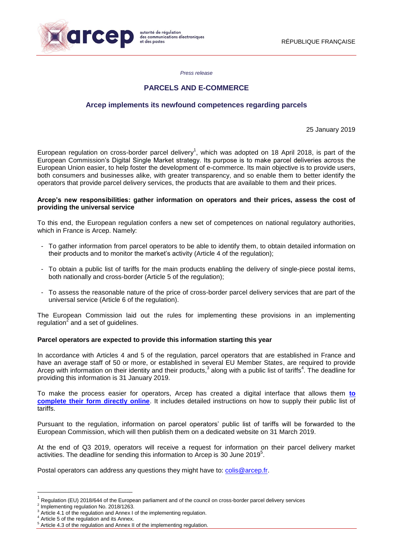

*Press release*

# **PARCELS AND E-COMMERCE**

# **Arcep implements its newfound competences regarding parcels**

25 January 2019

European regulation on cross-border parcel delivery<sup>1</sup>, which was adopted on 18 April 2018, is part of the European Commission's Digital Single Market strategy. Its purpose is to make parcel deliveries across the European Union easier, to help foster the development of e-commerce. Its main objective is to provide users, both consumers and businesses alike, with greater transparency, and so enable them to better identify the operators that provide parcel delivery services, the products that are available to them and their prices.

#### **Arcep's new responsibilities: gather information on operators and their prices, assess the cost of providing the universal service**

To this end, the European regulation confers a new set of competences on national regulatory authorities, which in France is Arcep. Namely:

- To gather information from parcel operators to be able to identify them, to obtain detailed information on their products and to monitor the market's activity (Article 4 of the regulation);
- To obtain a public list of tariffs for the main products enabling the delivery of single-piece postal items, both nationally and cross-border (Article 5 of the regulation);
- To assess the reasonable nature of the price of cross-border parcel delivery services that are part of the universal service (Article 6 of the regulation).

The European Commission laid out the rules for implementing these provisions in an implementing regulation<sup>2</sup> and a set of guidelines.

### **Parcel operators are expected to provide this information starting this year**

In accordance with Articles 4 and 5 of the regulation, parcel operators that are established in France and have an average staff of 50 or more, or established in several EU Member States, are required to provide Arcep with information on their identity and their products,<sup>3</sup> along with a public list of tariffs<sup>4</sup>. The deadline for providing this information is 31 January 2019.

To make the process easier for operators, Arcep has created a digital interface that allows them **[to](https://extranet.arcep.fr/portail/Op%C3%A9rateursColis.aspx)  [complete their form directly online](https://extranet.arcep.fr/portail/Op%C3%A9rateursColis.aspx)**. It includes detailed instructions on how to supply their public list of tariffs.

Pursuant to the regulation, information on parcel operators' public list of tariffs will be forwarded to the European Commission, which will then publish them on a dedicated website on 31 March 2019.

At the end of Q3 2019, operators will receive a request for information on their parcel delivery market activities. The deadline for sending this information to Arcep is 30 June 2019 $5$ .

Postal operators can address any questions they might have to: [colis@arcep.fr.](mailto:colis@arcep.fr)

1

<sup>1</sup> Regulation (EU) 2018/644 of the European parliament and of the council on cross-border parcel delivery services

<sup>2</sup> Implementing regulation No. 2018/1263.

Article 4.1 of the regulation and Annex I of the implementing regulation.

Article 5 of the regulation and its Annex.

Article 4.3 of the regulation and Annex II of the implementing regulation.